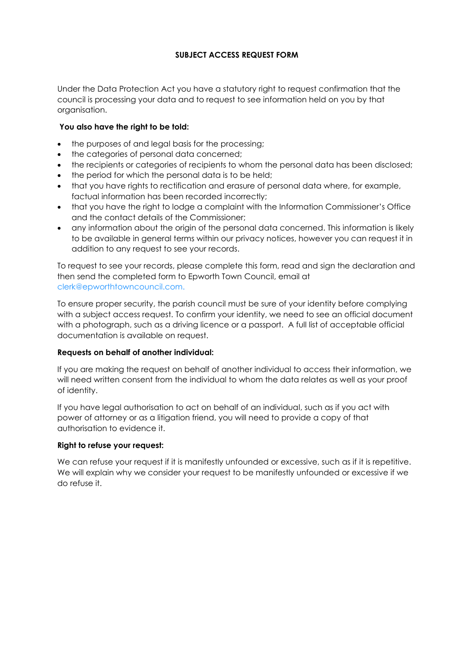# **SUBJECT ACCESS REQUEST FORM**

Under the Data Protection Act you have a statutory right to request confirmation that the council is processing your data and to request to see information held on you by that organisation.

## **You also have the right to be told:**

- the purposes of and legal basis for the processing;
- the categories of personal data concerned;
- the recipients or categories of recipients to whom the personal data has been disclosed;
- the period for which the personal data is to be held;
- that you have rights to rectification and erasure of personal data where, for example, factual information has been recorded incorrectly;
- that you have the right to lodge a complaint with the Information Commissioner's Office and the contact details of the Commissioner;
- any information about the origin of the personal data concerned. This information is likely to be available in general terms within our privacy notices, however you can request it in addition to any request to see your records.

To request to see your records, please complete this form, read and sign the declaration and then send the completed form to Epworth Town Council, email at clerk@epworthtowncouncil.com.

To ensure proper security, the parish council must be sure of your identity before complying with a subject access request. To confirm your identity, we need to see an official document with a photograph, such as a driving licence or a passport. A full list of acceptable official documentation is available on request.

#### **Requests on behalf of another individual:**

If you are making the request on behalf of another individual to access their information, we will need written consent from the individual to whom the data relates as well as your proof of identity.

If you have legal authorisation to act on behalf of an individual, such as if you act with power of attorney or as a litigation friend, you will need to provide a copy of that authorisation to evidence it.

#### **Right to refuse your request:**

We can refuse your request if it is manifestly unfounded or excessive, such as if it is repetitive. We will explain why we consider your request to be manifestly unfounded or excessive if we do refuse it.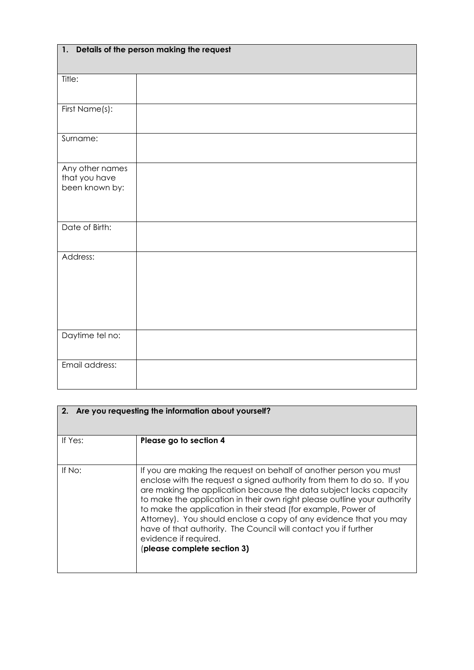| 1. Details of the person making the request        |  |  |
|----------------------------------------------------|--|--|
| Title:                                             |  |  |
| First Name(s):                                     |  |  |
| Surname:                                           |  |  |
| Any other names<br>that you have<br>been known by: |  |  |
| Date of Birth:                                     |  |  |
| Address:                                           |  |  |
| Daytime tel no:                                    |  |  |
| Email address:                                     |  |  |

| 2. Are you requesting the information about yourself? |                                                                                                                                                                                                                                                                                                                                                                                                                                                                                                                                                                 |  |
|-------------------------------------------------------|-----------------------------------------------------------------------------------------------------------------------------------------------------------------------------------------------------------------------------------------------------------------------------------------------------------------------------------------------------------------------------------------------------------------------------------------------------------------------------------------------------------------------------------------------------------------|--|
| If Yes:                                               | Please go to section 4                                                                                                                                                                                                                                                                                                                                                                                                                                                                                                                                          |  |
| If No:                                                | If you are making the request on behalf of another person you must<br>enclose with the request a signed authority from them to do so. If you<br>are making the application because the data subject lacks capacity<br>to make the application in their own right please outline your authority<br>to make the application in their stead (for example, Power of<br>Attorney). You should enclose a copy of any evidence that you may<br>have of that authority. The Council will contact you if further<br>evidence if required.<br>(please complete section 3) |  |